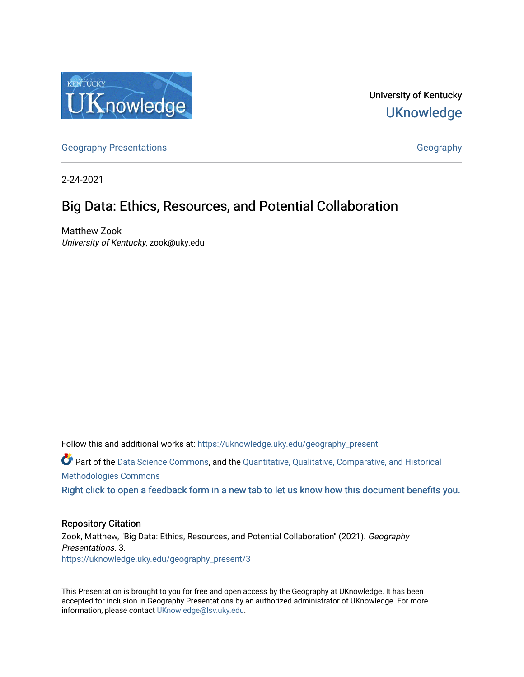

University of Kentucky **UKnowledge** 

[Geography Presentations](https://uknowledge.uky.edu/geography_present) and Contract Contract Contract Contract Contract Contract Contract Contract Contract Contract Contract Contract Contract Contract Contract Contract Contract Contract Contract Contract Contract Contr

2-24-2021

#### Big Data: Ethics, Resources, and Potential Collaboration

Matthew Zook University of Kentucky, zook@uky.edu

Follow this and additional works at: [https://uknowledge.uky.edu/geography\\_present](https://uknowledge.uky.edu/geography_present?utm_source=uknowledge.uky.edu%2Fgeography_present%2F3&utm_medium=PDF&utm_campaign=PDFCoverPages) Part of the [Data Science Commons,](http://network.bepress.com/hgg/discipline/1429?utm_source=uknowledge.uky.edu%2Fgeography_present%2F3&utm_medium=PDF&utm_campaign=PDFCoverPages) and the [Quantitative, Qualitative, Comparative, and Historical](http://network.bepress.com/hgg/discipline/423?utm_source=uknowledge.uky.edu%2Fgeography_present%2F3&utm_medium=PDF&utm_campaign=PDFCoverPages)  [Methodologies Commons](http://network.bepress.com/hgg/discipline/423?utm_source=uknowledge.uky.edu%2Fgeography_present%2F3&utm_medium=PDF&utm_campaign=PDFCoverPages)  [Right click to open a feedback form in a new tab to let us know how this document benefits you.](https://uky.az1.qualtrics.com/jfe/form/SV_9mq8fx2GnONRfz7)

#### Repository Citation

Zook, Matthew, "Big Data: Ethics, Resources, and Potential Collaboration" (2021). Geography Presentations. 3. [https://uknowledge.uky.edu/geography\\_present/3](https://uknowledge.uky.edu/geography_present/3?utm_source=uknowledge.uky.edu%2Fgeography_present%2F3&utm_medium=PDF&utm_campaign=PDFCoverPages) 

This Presentation is brought to you for free and open access by the Geography at UKnowledge. It has been accepted for inclusion in Geography Presentations by an authorized administrator of UKnowledge. For more information, please contact [UKnowledge@lsv.uky.edu](mailto:UKnowledge@lsv.uky.edu).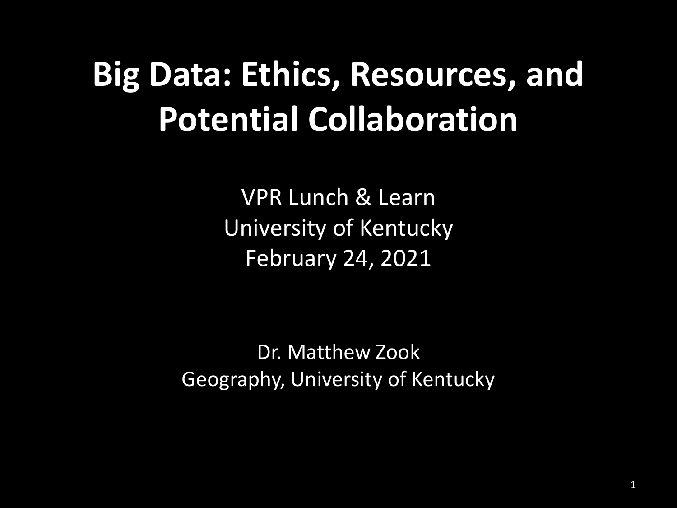#### **Big Data: Ethics, Resources, and Potential Collaboration**

VPR Lunch & Learn University of Kentucky February 24, 2021

Dr. Matthew Zook Geography, University of Kentucky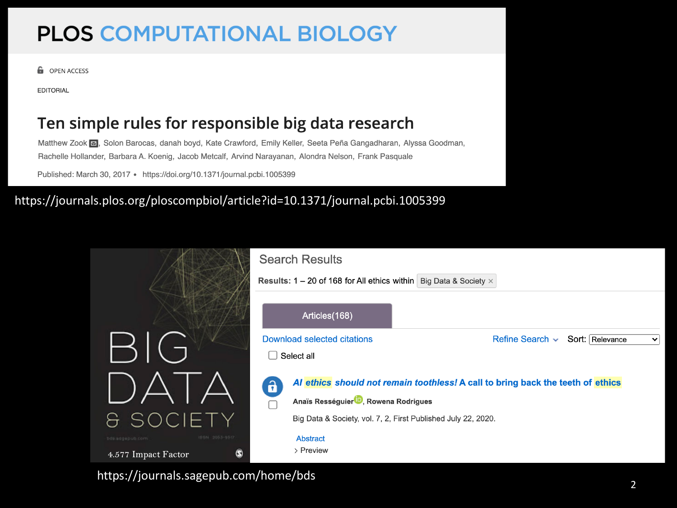#### **PLOS COMPUTATIONAL BIOLOGY**

**G** OPEN ACCESS

**EDITORIAL** 

#### Ten simple rules for responsible big data research

Matthew Zook [8], Solon Barocas, danah boyd, Kate Crawford, Emily Keller, Seeta Peña Gangadharan, Alyssa Goodman, Rachelle Hollander, Barbara A. Koenig, Jacob Metcalf, Arvind Narayanan, Alondra Nelson, Frank Pasquale

Published: March 30, 2017 · https://doi.org/10.1371/journal.pcbi.1005399

#### https://journals.plos.org/ploscompbiol/article?id=10.1371/journal.pcbi.1005399

|                                                              | <b>Search Results</b><br><b>Results: 1 – 20 of 168 for All ethics within   Big Data &amp; Society <math>\times</math></b>            |                                                         |
|--------------------------------------------------------------|--------------------------------------------------------------------------------------------------------------------------------------|---------------------------------------------------------|
|                                                              |                                                                                                                                      |                                                         |
|                                                              | Articles(168)                                                                                                                        |                                                         |
| B(G)                                                         | Download selected citations<br>Select all                                                                                            | Refine Search $\sim$<br>Sort: Relevance<br>$\checkmark$ |
|                                                              | Al ethics should not remain toothless! A call to bring back the teeth of ethics<br>Anaïs Rességuier <sup>19</sup> , Rowena Rodrigues |                                                         |
| <b>&amp; SOCIETY</b>                                         | Big Data & Society, vol. 7, 2, First Published July 22, 2020.                                                                        |                                                         |
| 188N 2053-05D<br>bds:sagepub.com<br>4.577 Impact Factor<br>W | <b>Abstract</b><br>> Preview                                                                                                         |                                                         |

<sup>2</sup> https://journals.sagepub.com/home/bds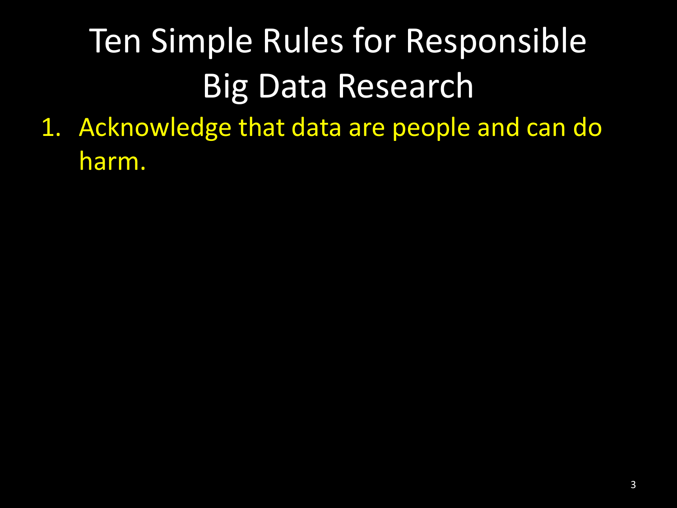1. Acknowledge that data are people and can do harm.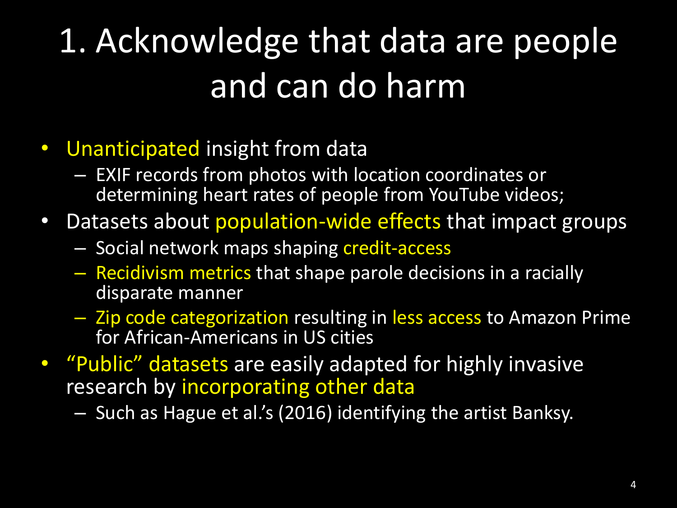### 1. Acknowledge that data are people and can do harm

#### • Unanticipated insight from data

- EXIF records from photos with location coordinates or determining heart rates of people from YouTube videos;
- Datasets about population-wide effects that impact groups
	- Social network maps shaping credit-access
	- Recidivism metrics that shape parole decisions in a racially disparate manner
	- Zip code categorization resulting in less access to Amazon Prime for African-Americans in US cities
- "Public" datasets are easily adapted for highly invasive research by incorporating other data

– Such as Hague et al.'s (2016) identifying the artist Banksy.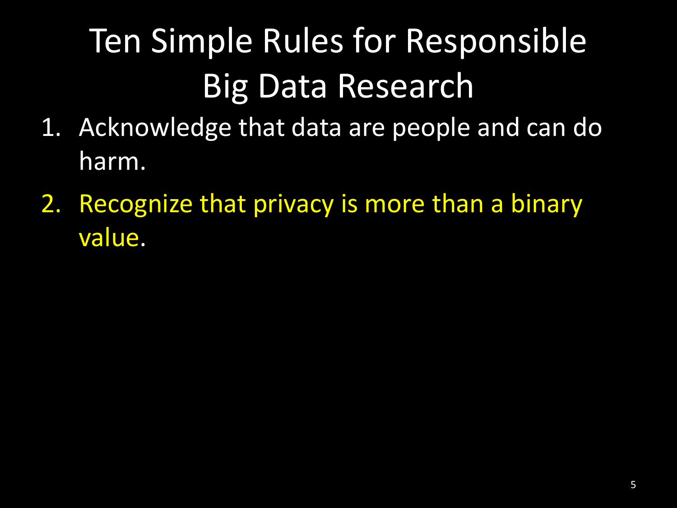- 1. Acknowledge that data are people and can do harm.
- 2. Recognize that privacy is more than a binary value.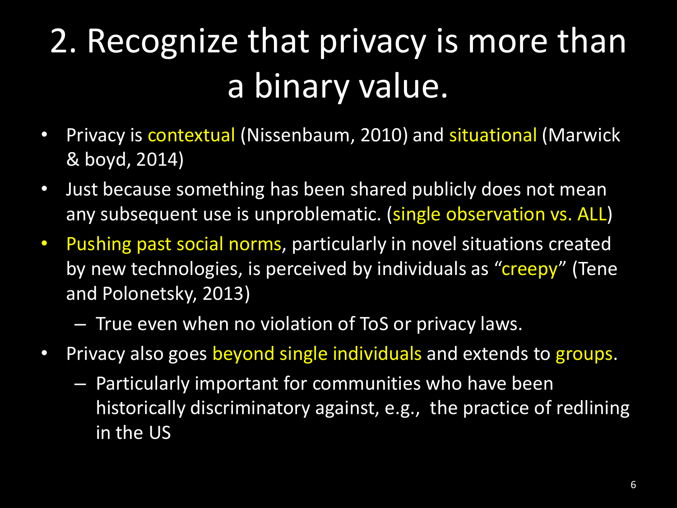### 2. Recognize that privacy is more than a binary value.

- Privacy is contextual (Nissenbaum, 2010) and situational (Marwick & boyd, 2014)
- Just because something has been shared publicly does not mean any subsequent use is unproblematic. (single observation vs. ALL)
- Pushing past social norms, particularly in novel situations created by new technologies, is perceived by individuals as "creepy" (Tene and Polonetsky, 2013)
	- True even when no violation of ToS or privacy laws.
- Privacy also goes beyond single individuals and extends to groups.
	- Particularly important for communities who have been historically discriminatory against, e.g., the practice of redlining in the US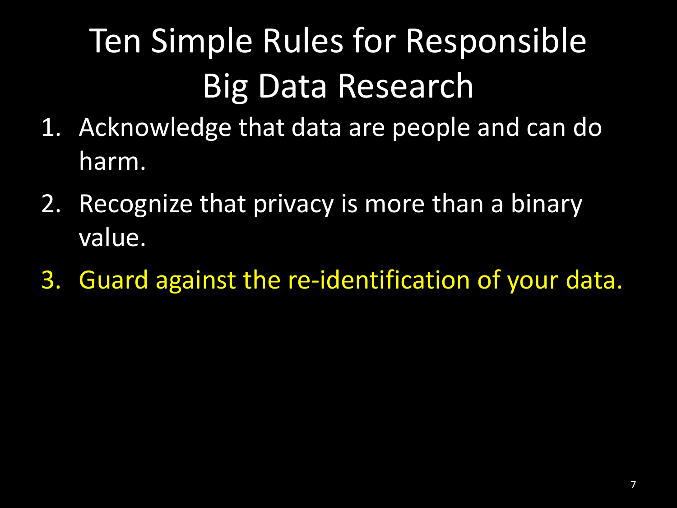- 1. Acknowledge that data are people and can do harm.
- 2. Recognize that privacy is more than a binary value.
- 3. Guard against the re-identification of your data.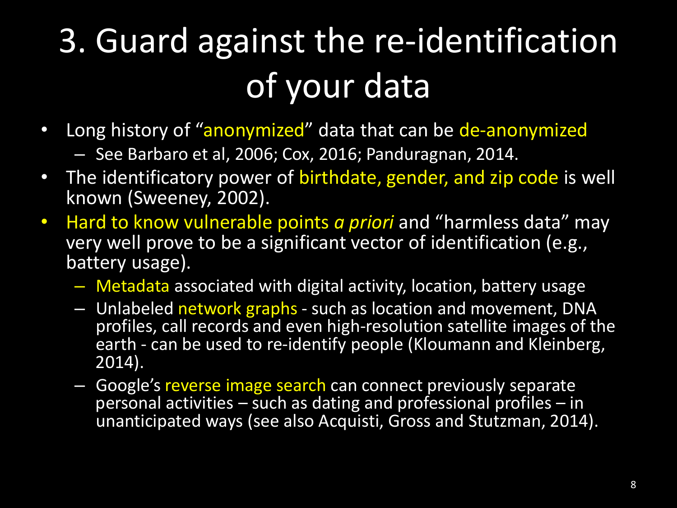### 3. Guard against the re-identification of your data

- Long history of "anonymized" data that can be de-anonymized – See Barbaro et al, 2006; Cox, 2016; Panduragnan, 2014.
- The identificatory power of birthdate, gender, and zip code is well
- known (Sweeney, 2002). • Hard to know vulnerable points *a priori* and "harmless data" may
	- very well prove to be a significant vector of identification (e.g., battery usage).
		- Metadata associated with digital activity, location, battery usage
		- Unlabeled network graphs such as location and movement, DNA profiles, call records and even high-resolution satellite images of the earth - can be used to re-identify people (Kloumann and Kleinberg, 2014).
		- Google's reverse image search can connect previously separate personal activities – such as dating and professional profiles – in unanticipated ways (see also Acquisti, Gross and Stutzman, 2014).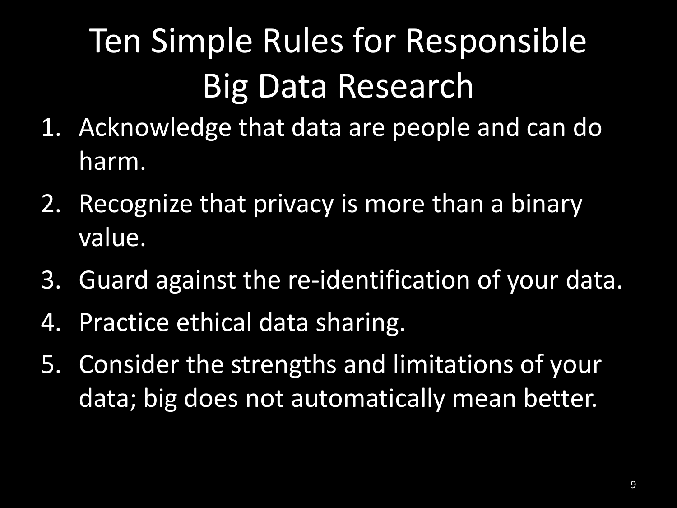- 1. Acknowledge that data are people and can do harm.
- 2. Recognize that privacy is more than a binary value.
- 3. Guard against the re-identification of your data.
- 4. Practice ethical data sharing.
- 5. Consider the strengths and limitations of your data; big does not automatically mean better.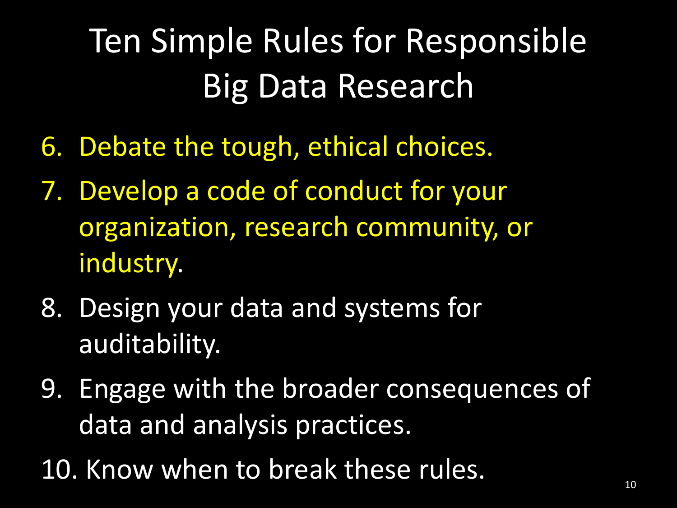- 6. Debate the tough, ethical choices.
- 7. Develop a code of conduct for your organization, research community, or industry.
- 8. Design your data and systems for auditability.
- 9. Engage with the broader consequences of data and analysis practices.
- 10. Know when to break these rules.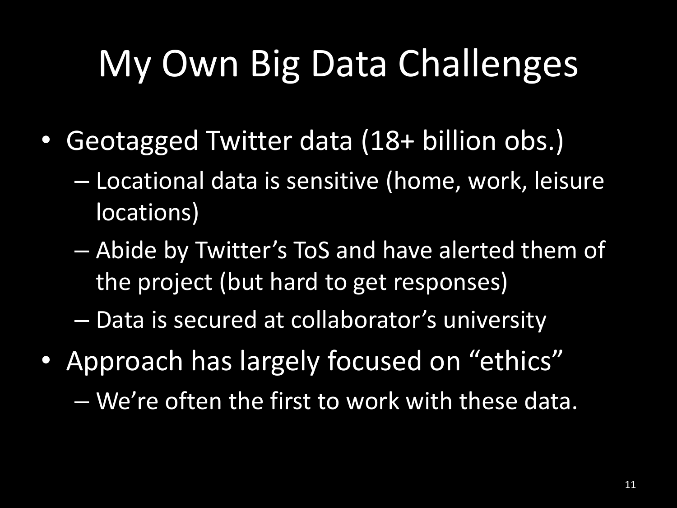# My Own Big Data Challenges

- Geotagged Twitter data (18+ billion obs.)
	- Locational data is sensitive (home, work, leisure locations)
	- Abide by Twitter's ToS and have alerted them of the project (but hard to get responses)

– Data is secured at collaborator's university

- Approach has largely focused on "ethics"
	- We're often the first to work with these data.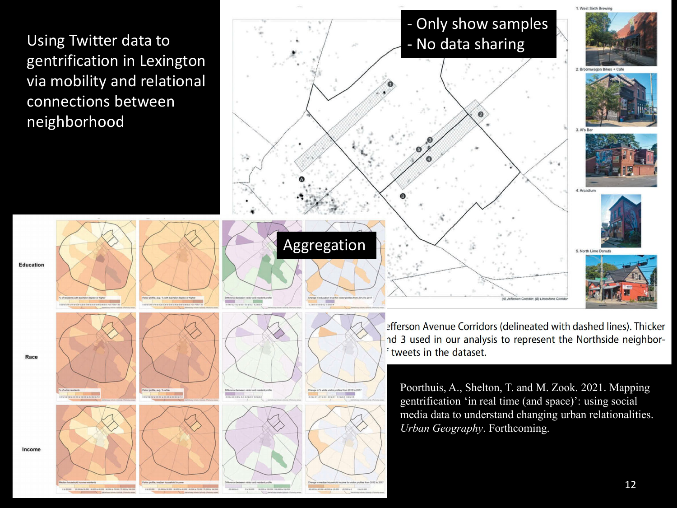Using Twitter data to gentrification in Lexington via mobility and relational connections between neighborhood



Race